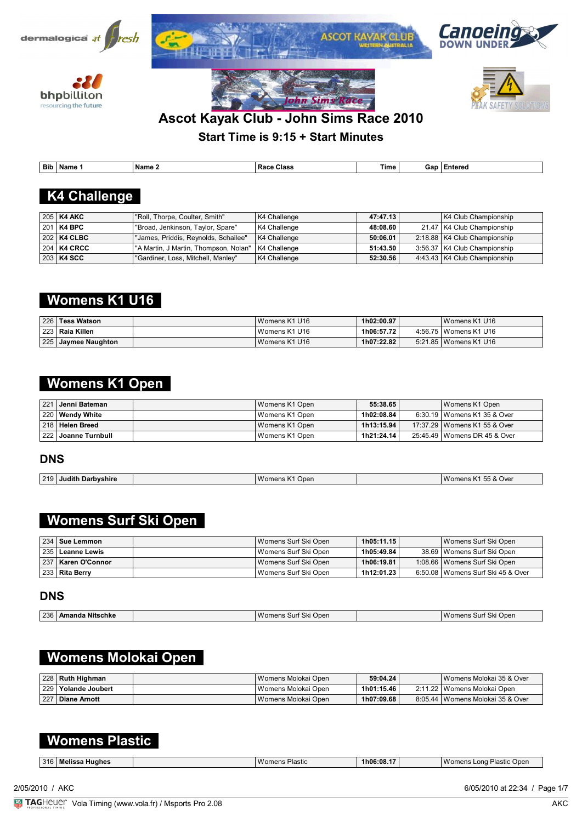











## **Ascot Kayak Club - John Sims Race 2010**

**Start Time is 9:15 + Start Minutes**

| ' Bib<br>the contract of the contract of | Name | Name | Class<br>ĸ<br>.<br>. | $\overline{\phantom{a}}$<br>Time | Gar | . |
|------------------------------------------|------|------|----------------------|----------------------------------|-----|---|

## **K4 Challenge**

| 205   K4 AKC              | "Roll, Thorpe, Coulter, Smith"                         | K4 Challenge | 47:47.13 | K4 Club Championship           |
|---------------------------|--------------------------------------------------------|--------------|----------|--------------------------------|
| 201   K4 BPC              | "Broad, Jenkinson, Taylor, Spare"                      | K4 Challenge | 48:08.60 | 21.47   K4 Club Championship   |
| $202$ K4 CLBC             | "James, Priddis, Reynolds, Schailee"                   | K4 Challenge | 50:06.01 | 2:18.88   K4 Club Championship |
| $\mid$ 204 $\mid$ K4 CRCC | ' "A Martin, J Martin, Thompson, Nolan"   K4 Challenge |              | 51:43.50 | 3:56.37   K4 Club Championship |
| $ 203 $ K4 SCC            | "Gardiner, Loss, Mitchell, Manley"                     | K4 Challenge | 52:30.56 | 4:43.43   K4 Club Championship |

## **Womens K1 U16**

| 226   Tess Watson              | Womens K1 U16 | 1h02:00.97 | Womens K1 U16           |
|--------------------------------|---------------|------------|-------------------------|
| <sup>i</sup> 223 ∣ Raia Killen | Womens K1 U16 | 1h06:57.72 | 4:56.75   Womens K1 U16 |
| 225 Jaymee Naughton            | Womens K1 U16 | 1h07:22.82 | 5:21.85   Womens K1 U16 |

## **Womens K1 Open**

| ∣ 221 ∣ Jenni Bateman⊥  | Womens K1 Open   | 55:38.65   | Womens K1 Open                 |
|-------------------------|------------------|------------|--------------------------------|
| 220 Wendy White         | Womens K1 Open   | 1h02:08.84 | 6:30.19   Womens K1 35 & Over  |
| 218   Helen Breed       | Womens K1 Open   | 1h13:15.94 | 17:37.29   Womens K1 55 & Over |
| ∣ 222 ∣ Joanne Turnbull | l Womens K1 Open | 1h21:24.14 | 25:45.49   Womens DR 45 & Over |

### **DNS**

| 219<br>W<br><br>Judith<br>Oper<br>Darbvshire<br>nno<br>om<br>$-115$ | --<br>55 & Over<br>Wome<br>- 10 |
|---------------------------------------------------------------------|---------------------------------|

## **Womens Surf Ski Open**

| 234   Sue Lemmon     | l Womens Surf Ski Open | 1h05:11.15 | Womens Surf Ski Open                |
|----------------------|------------------------|------------|-------------------------------------|
| 235   Leanne Lewis   | I Womens Surf Ski Open | 1h05:49.84 | 38.69   Womens Surf Ski Open        |
| 237   Karen O'Connor | I Womens Surf Ski Open | 1h06:19.81 | 1:08.66   Womens Surf Ski Open      |
| ∣ 233   Rita Berrv   | I Womens Surf Ski Open | 1h12:01.23 | 6:50.08   Womens Surf Ski 45 & Over |

### **DNS**

| 236 | <br>ı Nitschke<br>' Amanda | 'Ski∶<br>Open<br>$M$ oi<br>men:<br>15 SUI | ' Ski<br>Womens<br>i Open<br>. Surf |
|-----|----------------------------|-------------------------------------------|-------------------------------------|
|     |                            |                                           |                                     |

## **Womens Molokai Open**

| 228   Ruth Highman    | l Womens Molokai Open | 59:04.24   | Womens Molokai 35 & Over           |
|-----------------------|-----------------------|------------|------------------------------------|
| 229   Yolande Joubert | l Womens Molokai Open | 1h01:15.46 | 2:11.22   Womens Molokai Open      |
| 227 Diane Arnott      | l Womens Molokai Open | 1h07:09.68 | 8:05.44   Womens Molokai 35 & Over |

## **Womens Plastic**

| 216<br>Huahes<br>Melis<br>.<br>.J I |  | $M \cap n$<br>Plastic<br>n∆no<br>. | $.1h06:08.1^{-}$ |  | lastic?<br>Open<br>_ona<br><b>Womens</b> |
|-------------------------------------|--|------------------------------------|------------------|--|------------------------------------------|
|-------------------------------------|--|------------------------------------|------------------|--|------------------------------------------|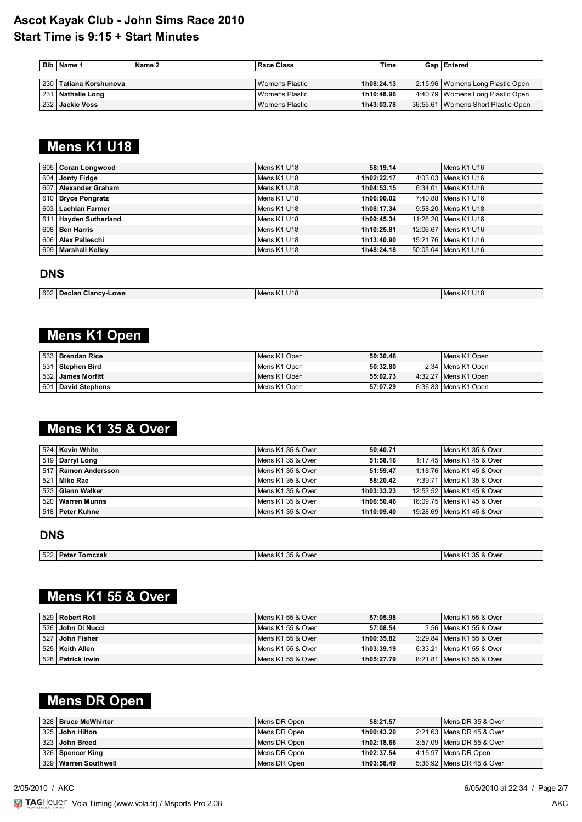| <b>Bib</b> | <b>Name</b> 1          | Name 2 | <b>Race Class</b> | Time       | Gap   Entered                        |
|------------|------------------------|--------|-------------------|------------|--------------------------------------|
|            |                        |        |                   |            |                                      |
|            | 230 Tatiana Korshunova |        | l Womens Plastic  | 1h08:24.13 | 2:15.96   Womens Long Plastic Open   |
| 231        | <b>Nathalie Long</b>   |        | l Womens Plastic  | 1h10:48.96 | 4:40.79   Womens Long Plastic Open   |
|            | 232   Jackie Voss      |        | l Womens Plastic  | 1h43:03.78 | 36:55.61   Womens Short Plastic Open |

# **Mens K1 U18**

| 605 Coran Longwood       | Mens K1 U18 | 58:19.14   | Mens K1 U16            |
|--------------------------|-------------|------------|------------------------|
| 604   Jonty Fidge        | Mens K1 U18 | 1h02:22.17 | 4:03.03   Mens K1 U16  |
| ∣ 607 ∣ Alexander Graham | Mens K1 U18 | 1h04:53.15 | 6:34.01   Mens K1 U16  |
| 610   Bryce Pongratz     | Mens K1 U18 | 1h06:00.02 | 7:40.88   Mens K1 U16  |
| │603 │ Lachlan Farmer    | Mens K1 U18 | 1h08:17.34 | 9:58.20   Mens K1 U18  |
| 611 Hayden Sutherland    | Mens K1 U18 | 1h09:45.34 | 11:26.20   Mens K1 U16 |
| ∣ 608 ∣ Ben Harris       | Mens K1 U18 | 1h10:25.81 | 12:06.67   Mens K1 U16 |
| 606   Alex Palleschi     | Mens K1 U18 | 1h13:40.90 | 15:21.76 Mens K1 U16   |
| 609   Marshall Kelley    | Mens K1 U18 | 1h48:24.18 | 50:05.04   Mens K1 U16 |

#### **DNS**

| 602   Declan C<br>Clancy-<br>-Lowe | 1110<br>.<br>Mens<br>UIO<br>ח כוו: | U <sub>18</sub><br>Men |
|------------------------------------|------------------------------------|------------------------|

## **Mens K1 Open**

| ∣ 533 ∣ Brendan Rice  | Mens K1 Open | 50:30.46 | Mens K1 Open           |
|-----------------------|--------------|----------|------------------------|
| 531 Stephen Bird      | Mens K1 Open | 50:32.80 | 2.34   Mens K1 Open    |
| ∣ 532 ∣ James Morfitt | Mens K1 Open | 55:02.73 | 4:32.27   Mens K1 Open |
| 601 David Stephens    | Mens K1 Open | 57:07.29 | 6:36.83   Mens K1 Open |

# **Mens K1 35 & Over**

| 524   Kevin White    | Mens K1 35 & Over | 50:40.71   | Mens K1 35 & Over            |
|----------------------|-------------------|------------|------------------------------|
| 519 Darryl Long      | Mens K1 35 & Over | 51:58.16   | 1:17.45   Mens K1 45 & Over  |
| 517 Ramon Andersson  | Mens K1 35 & Over | 51:59.47   | 1:18.76   Mens K1 45 & Over  |
| 521   Mike Rae       | Mens K1 35 & Over | 58:20.42   | 7:39.71   Mens K1 35 & Over  |
| ∣ 523 ∣ Glenn Walker | Mens K1 35 & Over | 1h03:33.23 | 12:52.52   Mens K1 45 & Over |
| 520   Warren Munns   | Mens K1 35 & Over | 1h06:50.46 | 16:09.75   Mens K1 45 & Over |
| ∣ 518 ∣ Peter Kuhne  | Mens K1 35 & Over | 1h10:09.40 | 19:28.69   Mens K1 45 & Over |

#### **DNS**

| <b>S22 Peter</b><br>Tomczak | 35 & Over<br>Mens K1 | 35 & Over<br>' Mens K≐ |
|-----------------------------|----------------------|------------------------|
|                             |                      |                        |

# **Mens K1 55 & Over**

| 529 Robert Roll       | l Mens K1 55 & Over | 57:05.98   | Mens K1 55 & Over           |
|-----------------------|---------------------|------------|-----------------------------|
| ∣ 526 ∣ John Di Nucci | Mens K1 55 & Over   | 57:08.54   | 2.56   Mens K1 55 & Over    |
| 527 John Fisher       | l Mens K1 55 & Over | 1h00:35.82 | 3:29.84   Mens K1 55 & Over |
| 525   Keith Allen     | Mens K1 55 & Over   | 1h03:39.19 | 6:33.21   Mens K1 55 & Over |
| ∣ 528 ∣ Patrick Irwin | I Mens K1 55 & Over | 1h05:27.79 | 8:21.81   Mens K1 55 & Over |

## **Mens DR Open**

| 328 Bruce McWhirter    | Mens DR Open | 58:21.57   | Mens DR 35 & Over           |
|------------------------|--------------|------------|-----------------------------|
| ∣ 325 ∣ John Hilton    | Mens DR Open | 1h00:43.20 | 2:21.63   Mens DR 45 & Over |
| 323 John Breed         | Mens DR Open | 1h02:18.66 | 3:57.09   Mens DR 55 & Over |
| 326   Spencer King     | Mens DR Open | 1h02:37.54 | 4:15.97   Mens DR Open      |
| 329   Warren Southwell | Mens DR Open | 1h03:58.49 | 5:36.92   Mens DR 45 & Over |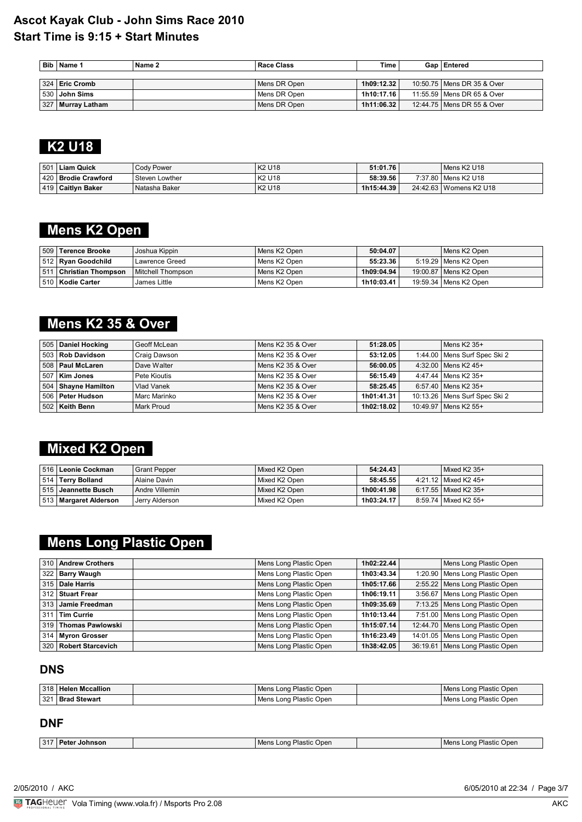|     | Bib   Name 1      | Name 2 | Race Class   | Time       | Gap   Entered                |
|-----|-------------------|--------|--------------|------------|------------------------------|
|     |                   |        |              |            |                              |
|     | 324   Eric Cromb  |        | Mens DR Open | 1h09:12.32 | 10:50.75   Mens DR 35 & Over |
|     | 530 John Sims     |        | Mens DR Open | 1h10:17.16 | 11:55.59   Mens DR 65 & Over |
| 327 | '   Murray Latham |        | Mens DR Open | 1h11:06.32 | 12:44.75   Mens DR 55 & Over |

# **K2 U18**

| . 501 | Liam Quick            | <b>Cody Power</b> | K2 U18                         | 51:01.76   | Mens K2 U18              |
|-------|-----------------------|-------------------|--------------------------------|------------|--------------------------|
|       | 420   Brodie Crawford | Steven Lowther    | K <sub>2</sub> U <sub>18</sub> | 58:39.56   | 7:37.80   Mens K2 U18    |
|       | 419   Caitlyn Baker   | Natasha Baker     | K2 U18                         | 1h15:44.39 | 24:42.63   Womens K2 U18 |

## **Mens K2 Open**

|     | 509 Terence Brooke        | Joshua Kippin     | Mens K2 Open | 50:04.07   | Mens K2 Open            |
|-----|---------------------------|-------------------|--------------|------------|-------------------------|
|     | 512   Ryan Goodchild      | Lawrence Greed    | Mens K2 Open | 55:23.36   | 5:19.29   Mens K2 Open  |
| 511 | <b>Christian Thompson</b> | Mitchell Thompson | Mens K2 Open | 1h09:04.94 | 19:00.87   Mens K2 Open |
|     | 510   Kodie Carter        | James Little      | Mens K2 Open | 1h10:03.41 | 19:59.34   Mens K2 Open |

# **Mens K2 35 & Over**

|     | 505   Daniel Hocking | Geoff McLean | Mens K2 35 & Over | 51:28.05   | Mens K2 35+                     |
|-----|----------------------|--------------|-------------------|------------|---------------------------------|
|     | 503   Rob Davidson   | Craig Dawson | Mens K2 35 & Over | 53:12.05   | 1:44.00   Mens Surf Spec Ski 2  |
|     | 508   Paul McLaren   | Dave Walter  | Mens K2 35 & Over | 56:00.05   | 4:32.00 Mens K2 45+             |
| 507 | Kim Jones            | Pete Kioutis | Mens K2 35 & Over | 56:15.49   | 4:47.44   Mens K2 35+           |
|     | 504 Shayne Hamilton  | Vlad Vanek   | Mens K2 35 & Over | 58:25.45   | 6:57.40 Mens K2 35+             |
|     | 506   Peter Hudson   | Marc Marinko | Mens K2 35 & Over | 1h01:41.31 | 10:13.26   Mens Surf Spec Ski 2 |
|     | 502   Keith Benn     | Mark Proud   | Mens K2 35 & Over | 1h02:18.02 | 10:49.97   Mens K2 55+          |

# **Mixed K2 Open**

| ∣ 516 ∣ Leonie Cockman ∣  | <b>Grant Pepper</b> | Mixed K2 Open | 54:24.43   | $Mixed K2 35+$         |
|---------------------------|---------------------|---------------|------------|------------------------|
| 514   Terry Bolland       | Alaine Davin        | Mixed K2 Open | 58:45.55   | 4:21.12   Mixed K2 45+ |
| ∣ 515 ∣ Jeannette Busch ∣ | Andre Villemin      | Mixed K2 Open | 1h00:41.98 | 6:17.55   Mixed K2 35+ |
| 513   Margaret Alderson   | Jerry Alderson      | Mixed K2 Open | 1h03:24.17 | 8:59.74   Mixed K2 55+ |

# **Mens Long Plastic Open**

| 310 Andrew Crothers   | Mens Long Plastic Open | 1h02:22.44 | Mens Long Plastic Open          |
|-----------------------|------------------------|------------|---------------------------------|
| 322 Barry Waugh       | Mens Long Plastic Open | 1h03:43.34 | 1:20.90 Mens Long Plastic Open  |
| 315   Dale Harris     | Mens Long Plastic Open | 1h05:17.66 | 2:55.22 Mens Long Plastic Open  |
| ∣ 312   Stuart Frear  | Mens Long Plastic Open | 1h06:19.11 | 3:56.67 Mens Long Plastic Open  |
| │313 │ Jamie Freedman | Mens Long Plastic Open | 1h09:35.69 | 7:13.25 Mens Long Plastic Open  |
| 311 Tim Currie        | Mens Long Plastic Open | 1h10:13.44 | 7:51.00 Mens Long Plastic Open  |
| 319 Thomas Pawlowski  | Mens Long Plastic Open | 1h15:07.14 | 12:44.70 Mens Long Plastic Open |
| 314 Myron Grosser     | Mens Long Plastic Open | 1h16:23.49 | 14:01.05 Mens Long Plastic Open |
| 320 Robert Starcevich | Mens Long Plastic Open | 1h38:42.05 | 36:19.61 Mens Long Plastic Open |

### **DNS**

|     | 318   Helen Mccallion | Mens Long Plastic Open                 | Mens Long Plastic Open |
|-----|-----------------------|----------------------------------------|------------------------|
| 321 | ⊦ I Brad Stewart      | <sub>l</sub> Plastic Open<br>Mens Long | Mens Long Plastic Open |

### **DNF**

| $\sim$<br>ີ | Jonnson<br>,,,, | Oper<br>Mens<br>. Plastic '<br>ona | Open<br>nn<br>'≀asru<br>∟ona<br><b>TVIE</b> |
|-------------|-----------------|------------------------------------|---------------------------------------------|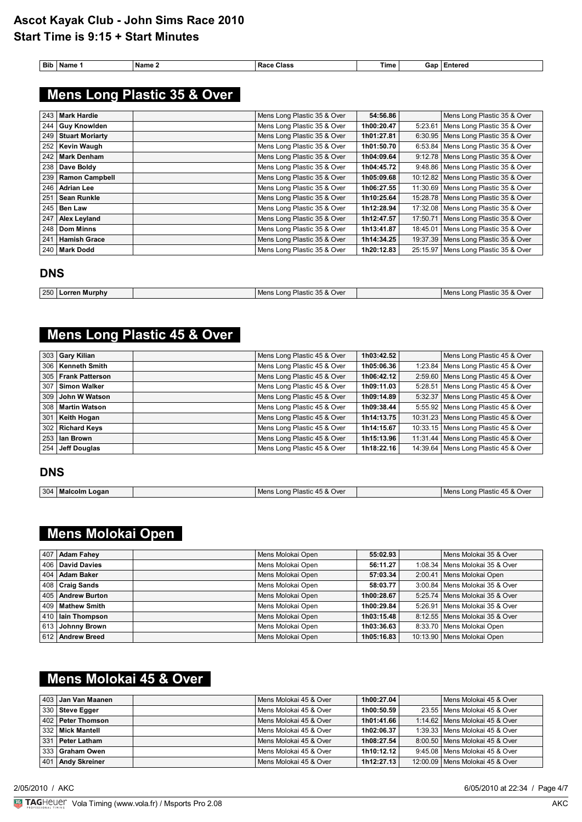| Bib | Name 1              | Name 2                      | <b>Race Class</b>           | <b>Time</b> | Gap   Entered                         |
|-----|---------------------|-----------------------------|-----------------------------|-------------|---------------------------------------|
|     |                     | Mens Long Plastic 35 & Over |                             |             |                                       |
| 243 | l Mark Hardie       |                             | Mens Long Plastic 35 & Over | 54:56.86    | Mens Long Plastic 35 & Over           |
|     | 244   Guy Knowlden  |                             | Mens Long Plastic 35 & Over | 1h00:20.47  | 5:23.61   Mens Long Plastic 35 & Over |
|     | 249 Stuart Moriarty |                             | Mens Long Plastic 35 & Over | 1h01.27.81  | 6:30.95 Mens Long Plastic 35 & Over   |

| 249 | <b>Stuart Moriarty</b> | Mens Long Plastic 35 & Over | 1h01:27.81 | 6:30.95 Mens Long Plastic 35 & Over    |
|-----|------------------------|-----------------------------|------------|----------------------------------------|
|     | 252   Kevin Waugh      | Mens Long Plastic 35 & Over | 1h01:50.70 | 6:53.84   Mens Long Plastic 35 & Over  |
| 242 | Mark Denham            | Mens Long Plastic 35 & Over | 1h04:09.64 | 9:12.78 Mens Long Plastic 35 & Over    |
|     | 238 Dave Boldy         | Mens Long Plastic 35 & Over | 1h04:45.72 | 9:48.86   Mens Long Plastic 35 & Over  |
|     | 239 Ramon Campbell     | Mens Long Plastic 35 & Over | 1h05:09.68 | 10:12.82   Mens Long Plastic 35 & Over |
| 246 | Adrian Lee             | Mens Long Plastic 35 & Over | 1h06:27.55 | 11:30.69 Mens Long Plastic 35 & Over   |
| 251 | <b>Sean Runkle</b>     | Mens Long Plastic 35 & Over | 1h10:25.64 | 15:28.78   Mens Long Plastic 35 & Over |
|     | $245$ Ben Law          | Mens Long Plastic 35 & Over | 1h12:28.94 | 17:32.08   Mens Long Plastic 35 & Over |
| 247 | <b>Alex Leyland</b>    | Mens Long Plastic 35 & Over | 1h12:47.57 | 17:50.71 Mens Long Plastic 35 & Over   |
|     | 248   Dom Minns        | Mens Long Plastic 35 & Over | 1h13:41.87 | 18:45.01   Mens Long Plastic 35 & Over |
| 241 | <b>Hamish Grace</b>    | Mens Long Plastic 35 & Over | 1h14:34.25 | 19:37.39   Mens Long Plastic 35 & Over |
|     | 240   Mark Dodd        | Mens Long Plastic 35 & Over | 1h20:12.83 | 25:15.97 Mens Long Plastic 35 & Over   |

### **DNS**

| 250 I<br>$\sim$<br>: 35 & Over<br>Plastic<br>:35 & Over<br>Lorren Murphv<br>Plastiu<br>Mens<br>Mens<br>ona<br>_ona · |  |  |  |
|----------------------------------------------------------------------------------------------------------------------|--|--|--|
|                                                                                                                      |  |  |  |

# **Mens Long Plastic 45 & Over**

|     | 303 Gary Kilian       | Mens Long Plastic 45 & Over | 1h03:42.52 | Mens Long Plastic 45 & Over            |
|-----|-----------------------|-----------------------------|------------|----------------------------------------|
|     | 306   Kenneth Smith   | Mens Long Plastic 45 & Over | 1h05:06.36 | 1:23.84 Mens Long Plastic 45 & Over    |
|     | 305   Frank Patterson | Mens Long Plastic 45 & Over | 1h06:42.12 | 2:59.60 Mens Long Plastic 45 & Over    |
| 307 | ∣ Simon Walker        | Mens Long Plastic 45 & Over | 1h09:11.03 | 5:28.51   Mens Long Plastic 45 & Over  |
|     | 309 John W Watson     | Mens Long Plastic 45 & Over | 1h09:14.89 | 5:32.37 Mens Long Plastic 45 & Over    |
|     | 308   Martin Watson   | Mens Long Plastic 45 & Over | 1h09:38.44 | 5:55.92 Mens Long Plastic 45 & Over    |
| 301 | <b>Keith Hogan</b>    | Mens Long Plastic 45 & Over | 1h14:13.75 | 10:31.23 Mens Long Plastic 45 & Over   |
|     | 302 Richard Keys      | Mens Long Plastic 45 & Over | 1h14:15.67 | 10:33.15   Mens Long Plastic 45 & Over |
|     | 253 Ian Brown         | Mens Long Plastic 45 & Over | 1h15:13.96 | 11:31.44 Mens Long Plastic 45 & Over   |
|     | 254 Jeff Douglas      | Mens Long Plastic 45 & Over | 1h18:22.16 | 14:39.64   Mens Long Plastic 45 & Over |

#### **DNS**

| 304 | Malcolm<br>∟oɑan | ⊃lastic<br>: 45 & Over<br>M<br>ona | Over<br>Inner<br>$n$ nn<br>$\prime\prime\prime$<br>$+5\alpha$<br>שווכפי |
|-----|------------------|------------------------------------|-------------------------------------------------------------------------|

# **Mens Molokai Open**

| 407 Adam Fahey      | Mens Molokai Open | 55:02.93   | Mens Molokai 35 & Over           |
|---------------------|-------------------|------------|----------------------------------|
| 406   David Davies  | Mens Molokai Open | 56:11.27   | 1:08.34   Mens Molokai 35 & Over |
| 404   Adam Baker    | Mens Molokai Open | 57:03.34   | 2:00.41   Mens Molokai Open      |
| $ 408 $ Craig Sands | Mens Molokai Open | 58:03.77   | 3:00.84   Mens Molokai 35 & Over |
| 405 Andrew Burton   | Mens Molokai Open | 1h00:28.67 | 5:25.74   Mens Molokai 35 & Over |
| 409   Mathew Smith  | Mens Molokai Open | 1h00:29.84 | 5:26.91   Mens Molokai 35 & Over |
| 410   lain Thompson | Mens Molokai Open | 1h03:15.48 | 8:12.55   Mens Molokai 35 & Over |
| 613 Johnny Brown    | Mens Molokai Open | 1h03:36.63 | 8:33.70 Mens Molokai Open        |
| 612 Andrew Breed    | Mens Molokai Open | 1h05:16.83 | 10:13.90   Mens Molokai Open     |

# **Mens Molokai 45 & Over**

| ∣ 403 ∣ Jan Van Maanen | Mens Molokai 45 & Over   | 1h00:27.04 | Mens Molokai 45 & Over            |
|------------------------|--------------------------|------------|-----------------------------------|
| $ 330 $ Steve Egger    | Mens Molokai 45 & Over   | 1h00:50.59 | 23.55   Mens Molokai 45 & Over    |
| 402 Peter Thomson      | Mens Molokai 45 & Over   | 1h01:41.66 | 1:14.62   Mens Molokai 45 & Over  |
| 332   Mick Mantell     | l Mens Molokai 45 & Over | 1h02:06.37 | 1:39.33   Mens Molokai 45 & Over  |
| ∣ 331 ∣ Peter Latham   | Mens Molokai 45 & Over   | 1h08:27.54 | 8:00.50 Mens Molokai 45 & Over    |
| 333 Graham Owen        | Mens Molokai 45 & Over   | 1h10:12.12 | 9:45.08   Mens Molokai 45 & Over  |
| 401   Andy Skreiner    | Mens Molokai 45 & Over   | 1h12:27.13 | 12:00.09   Mens Molokai 45 & Over |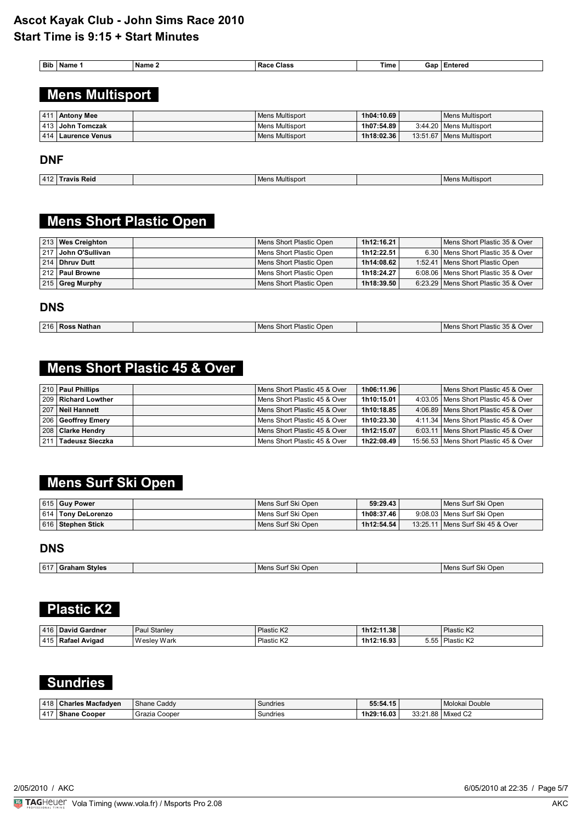| <b>Bit</b> | <b>Name</b> | ' Name ∡ | Class<br>Rđ | Time | $\sim$<br>чи. | :nterec |
|------------|-------------|----------|-------------|------|---------------|---------|
|            |             |          |             |      |               |         |

# **Mens Multisport**

| 411 | <b>Antony Mee</b>      | Mens Multisport        | 1h04:10.69 | Mens Multisport            |
|-----|------------------------|------------------------|------------|----------------------------|
|     | 413   John Tomczak     | Mens Multisport        | 1h07:54.89 | 3:44.20   Mens Multisport  |
|     | ∣ 414 ∣ Laurence Venus | <b>Mens Multisport</b> | 1h18:02.36 | 13:51.67   Mens Multisport |

#### **DNF**

| 44<br>-41 | Reio | .<br>/lultispor<br>⊥ Men∘ | . |
|-----------|------|---------------------------|---|

## **Mens Short Plastic Open**

| 213 Wes Creighton      | Mens Short Plastic Open   | 1h12:16.21 | Mens Short Plastic 35 & Over           |
|------------------------|---------------------------|------------|----------------------------------------|
| ∣217 ∣ John O'Sullivan | Mens Short Plastic Open   | 1h12:22.51 | 6.30   Mens Short Plastic 35 & Over    |
| 214 Dhruy Dutt         | Mens Short Plastic Open   | 1h14:08.62 | 1:52.41   Mens Short Plastic Open      |
| 212   Paul Browne      | l Mens Short Plastic Open | 1h18:24.27 | 6:08.06   Mens Short Plastic 35 & Over |
| $ 215 $ Greg Murphy    | Mens Short Plastic Open   | 1h18:39.50 | 6:23.29   Mens Short Plastic 35 & Over |

#### **DNS**

| 216 | : Nathan<br>Ross | Mens Short<br>Plastic<br>Open | t Plastic 35 & Over<br>Short<br>Mens : |
|-----|------------------|-------------------------------|----------------------------------------|
|     |                  |                               |                                        |

## **Mens Short Plastic 45 & Over**

| 210   Paul Phillips   | Mens Short Plastic 45 & Over | 1h06:11.96 | Mens Short Plastic 45 & Over            |
|-----------------------|------------------------------|------------|-----------------------------------------|
| 209   Richard Lowther | Mens Short Plastic 45 & Over | 1h10:15.01 | 4:03.05   Mens Short Plastic 45 & Over  |
| ∣ 207 ∣ Neil Hannett  | Mens Short Plastic 45 & Over | 1h10:18.85 | 4:06.89   Mens Short Plastic 45 & Over  |
| 206 Geoffrey Emery    | Mens Short Plastic 45 & Over | 1h10:23.30 | 4:11.34   Mens Short Plastic 45 & Over  |
| 208 Clarke Hendry     | Mens Short Plastic 45 & Over | 1h12:15.07 | 6:03.11   Mens Short Plastic 45 & Over  |
| 211   Tadeusz Sieczka | Mens Short Plastic 45 & Over | 1h22:08.49 | 15:56.53   Mens Short Plastic 45 & Over |

# **Mens Surf Ski Open**

| 615 Guy Power        | l Mens Surf Ski Open | 59:29.43   | l Mens Surf Ski Open               |
|----------------------|----------------------|------------|------------------------------------|
| 614   Tony DeLorenzo | l Mens Surf Ski Open | 1h08:37.46 | 9:08.03   Mens Surf Ski Open       |
| 616   Stephen Stick  | Mens Surf Ski Open   | 1h12:54.54 | 13:25.11   Mens Surf Ski 45 & Over |

### **DNS**

| 617 | itvles | Oper<br>Ski (<br>Mens<br>эш | Open<br>Mens.<br>5ur<br>いへ |
|-----|--------|-----------------------------|----------------------------|
|     |        |                             |                            |

# **Plastic K2**

| 416 | <b>David Gardner</b> | Stanley<br>Paul | <sup>1</sup> Plastic K∠ | 1h12:11.38 |                          | <sup>1</sup> Plastic K∠ |
|-----|----------------------|-----------------|-------------------------|------------|--------------------------|-------------------------|
| 415 | Avigag               | Wesley Wark     | Plastic K∠<br>.         | 1h12:16.93 | - --<br>. .<br>ບ.ບປ<br>. | Plastic K2<br>.         |

## **Sundries**

| 418         | <b>Charles Macfadven</b> | Shane Caddy     | Sundries | 55:54.15   |                            | l Molokai Double   |
|-------------|--------------------------|-----------------|----------|------------|----------------------------|--------------------|
| AA<br>' 4 L | Cooper<br>snane          | Cooper<br>la∠ia | Sundries | 1h29:16.03 | 00.04<br>ററ<br>00.<br>ے. ب | $\sim$<br>Mixed C2 |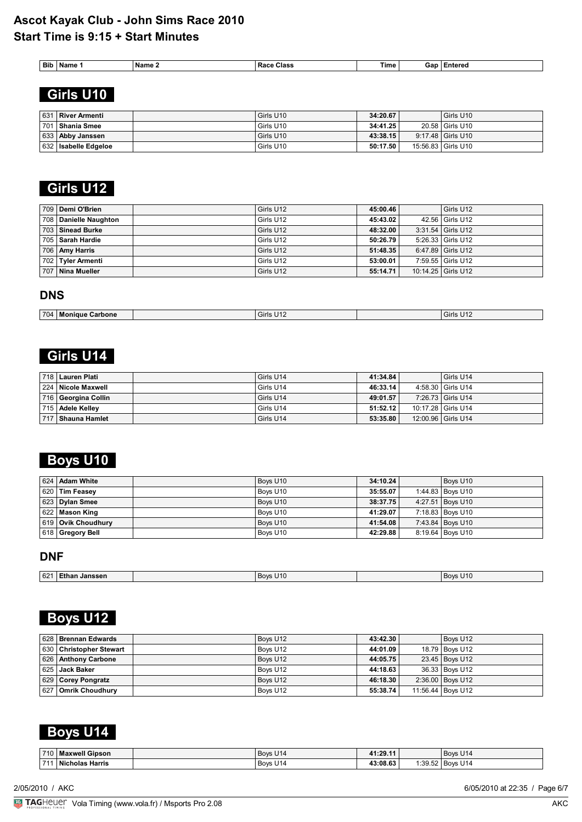| <b>Bib</b> | . Name | <b>Name</b> ∡ | Race<br>Class | $-$<br>Time | Gan | :nterec |
|------------|--------|---------------|---------------|-------------|-----|---------|
|            |        |               |               |             |     |         |

# **Girls U10**

| 631 | River Armenti        | Girls U10 | 34:20.67 | Girls U10          |
|-----|----------------------|-----------|----------|--------------------|
| 701 | <b>Shania Smee</b>   | Girls U10 | 34:41.25 | 20.58 Girls U10    |
|     | 633 Abby Janssen     | Girls U10 | 43:38.15 | 9:17.48 Girls U10  |
|     | 632 Isabelle Edgeloe | Girls U10 | 50:17.50 | 15:56.83 Girls U10 |

## **Girls U12**

| 709 Demi O'Brien      | Girls U12 | 45:00.46 | Girls U12           |
|-----------------------|-----------|----------|---------------------|
| 708 Danielle Naughton | Girls U12 | 45:43.02 | 42.56 Girls U12     |
| 703 Sinead Burke      | Girls U12 | 48:32.00 | $3:31.54$ Girls U12 |
| 705   Sarah Hardie    | Girls U12 | 50:26.79 | 5:26.33 Girls U12   |
| 706 Amy Harris        | Girls U12 | 51:48.35 | 6:47.89 Girls U12   |
| 702 Tyler Armenti     | Girls U12 | 53:00.01 | 7:59.55 Girls U12   |
| 707   Nina Mueller    | Girls U12 | 55:14.71 | 10:14.25 Girls U12  |

### **DNS**

| 704 | Moniaue<br><b>√Carbone</b> | Girls U12 | 3irls U12 |
|-----|----------------------------|-----------|-----------|

## **Girls U14**

| 718   Lauren Plati   | l Girls U14 | 41:34.84 | Girls U14          |
|----------------------|-------------|----------|--------------------|
| 224   Nicole Maxwell | l Girls U14 | 46:33.14 | 4:58.30 Girls U14  |
| 716 Georgina Collin  | l Girls U14 | 49:01.57 | 7:26.73 Girls U14  |
| 715 Adele Kelley     | l Girls U14 | 51:52.12 | 10:17.28 Girls U14 |
| 717   Shauna Hamlet  | l Girls U14 | 53:35.80 | 12:00.96 Girls U14 |

# **Boys U10**

| 624 Adam White     | Boys U10 | 34:10.24 | Boys U10           |
|--------------------|----------|----------|--------------------|
| $ 620 $ Tim Feasey | Boys U10 | 35:55.07 | 1:44.83   Bovs U10 |
| $ 623 $ Dylan Smee | Boys U10 | 38:37.75 | 4:27.51 Boys U10   |
| $ 622 $ Mason King | Boys U10 | 41:29.07 | 7:18.83 Boys U10   |
| 619 Ovik Choudhury | Boys U10 | 41:54.08 | 7:43.84   Boys U10 |
| 618 Gregory Bell   | Boys U10 | 42:29.88 | 8:19.64 Boys U10   |

### **DNF**

| 621<br>$R_{\text{av}}$<br>17<br>Janssen<br>בי∩ יי<br>тпа. |  |
|-----------------------------------------------------------|--|
|                                                           |  |

# **Boys U12**

| 628 Brennan Edwards     | Boys U12 | 43:42.30 | Boys U12          |
|-------------------------|----------|----------|-------------------|
| 630 Christopher Stewart | Boys U12 | 44:01.09 | 18.79 Boys U12    |
| 626 Anthony Carbone     | Boys U12 | 44:05.75 | 23.45   Boys U12  |
| 625 Jack Baker          | Bovs U12 | 44:18.63 | 36.33   Boys U12  |
| 629 Corey Pongratz      | Boys U12 | 46:18.30 | 2:36.00 Boys U12  |
| 627 Omrik Choudhury     | Boys U12 | 55:38.74 | 11:56.44 Boys U12 |

## **Boys U14**

| 710 | <b>Maxwell Gipson</b>     | Boys U14 | 41:29.1  |                 | $\overline{14}$<br><b>Boys</b><br>◡ |
|-----|---------------------------|----------|----------|-----------------|-------------------------------------|
| 74  | <b>Nicholas</b><br>Harris | Boys U14 | 43:08.63 | 1.395<br>ےں. ت. | <sup>1</sup> Boys<br><b>U14</b>     |